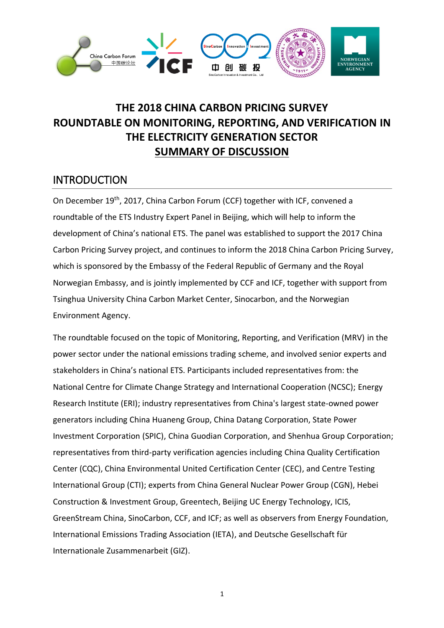

# **THE 2018 CHINA CARBON PRICING SURVEY ROUNDTABLE ON MONITORING, REPORTING, AND VERIFICATION IN THE ELECTRICITY GENERATION SECTOR SUMMARY OF DISCUSSION**

### **INTRODUCTION**

On December 19<sup>th</sup>, 2017, China Carbon Forum (CCF) together with ICF, convened a roundtable of the ETS Industry Expert Panel in Beijing, which will help to inform the development of China's national ETS. The panel was established to support the 2017 China Carbon Pricing Survey project, and continues to inform the 2018 China Carbon Pricing Survey, which is sponsored by the Embassy of the Federal Republic of Germany and the Royal Norwegian Embassy, and is jointly implemented by CCF and ICF, together with support from Tsinghua University China Carbon Market Center, Sinocarbon, and the Norwegian Environment Agency.

The roundtable focused on the topic of Monitoring, Reporting, and Verification (MRV) in the power sector under the national emissions trading scheme, and involved senior experts and stakeholders in China's national ETS. Participants included representatives from: the National Centre for Climate Change Strategy and International Cooperation (NCSC); Energy Research Institute (ERI); industry representatives from China's largest state-owned power generators including China Huaneng Group, China Datang Corporation, State Power Investment Corporation (SPIC), China Guodian Corporation, and Shenhua Group Corporation; representatives from third-party verification agencies including China Quality Certification Center (CQC), China Environmental United Certification Center (CEC), and Centre Testing International Group (CTI); experts from China General Nuclear Power Group (CGN), Hebei Construction & Investment Group, Greentech, Beijing UC Energy Technology, ICIS, GreenStream China, SinoCarbon, CCF, and ICF; as well as observers from Energy Foundation, International Emissions Trading Association (IETA), and Deutsche Gesellschaft für Internationale Zusammenarbeit (GIZ).

1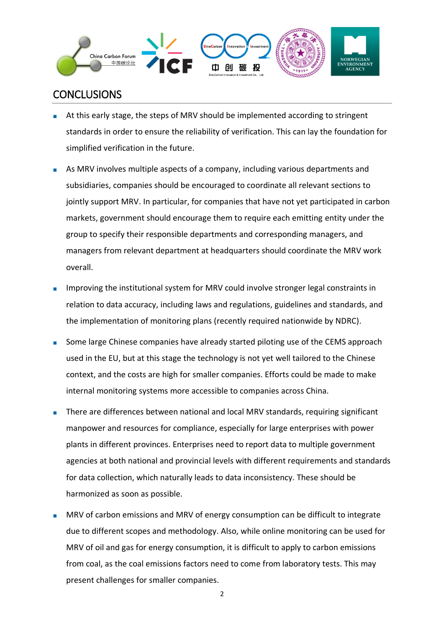

### **CONCLUSIONS**

- At this early stage, the steps of MRV should be implemented according to stringent standards in order to ensure the reliability of verification. This can lay the foundation for simplified verification in the future.
- As MRV involves multiple aspects of a company, including various departments and subsidiaries, companies should be encouraged to coordinate all relevant sections to jointly support MRV. In particular, for companies that have not yet participated in carbon markets, government should encourage them to require each emitting entity under the group to specify their responsible departments and corresponding managers, and managers from relevant department at headquarters should coordinate the MRV work overall.
- Improving the institutional system for MRV could involve stronger legal constraints in relation to data accuracy, including laws and regulations, guidelines and standards, and the implementation of monitoring plans (recently required nationwide by NDRC).
- Some large Chinese companies have already started piloting use of the CEMS approach used in the EU, but at this stage the technology is not yet well tailored to the Chinese context, and the costs are high for smaller companies. Efforts could be made to make internal monitoring systems more accessible to companies across China.
- There are differences between national and local MRV standards, requiring significant manpower and resources for compliance, especially for large enterprises with power plants in different provinces. Enterprises need to report data to multiple government agencies at both national and provincial levels with different requirements and standards for data collection, which naturally leads to data inconsistency. These should be harmonized as soon as possible.
- MRV of carbon emissions and MRV of energy consumption can be difficult to integrate due to different scopes and methodology. Also, while online monitoring can be used for MRV of oil and gas for energy consumption, it is difficult to apply to carbon emissions from coal, as the coal emissions factors need to come from laboratory tests. This may present challenges for smaller companies.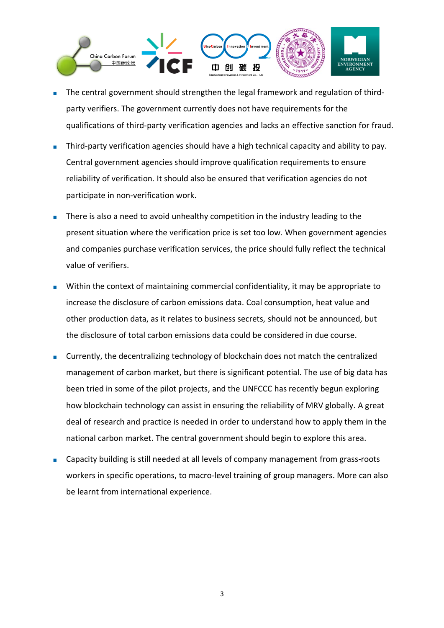

- The central government should strengthen the legal framework and regulation of thirdparty verifiers. The government currently does not have requirements for the qualifications of third-party verification agencies and lacks an effective sanction for fraud.
- Third-party verification agencies should have a high technical capacity and ability to pay. Central government agencies should improve qualification requirements to ensure reliability of verification. It should also be ensured that verification agencies do not participate in non-verification work.
- There is also a need to avoid unhealthy competition in the industry leading to the present situation where the verification price is set too low. When government agencies and companies purchase verification services, the price should fully reflect the technical value of verifiers.
- Within the context of maintaining commercial confidentiality, it may be appropriate to increase the disclosure of carbon emissions data. Coal consumption, heat value and other production data, as it relates to business secrets, should not be announced, but the disclosure of total carbon emissions data could be considered in due course.
- Currently, the decentralizing technology of blockchain does not match the centralized management of carbon market, but there is significant potential. The use of big data has been tried in some of the pilot projects, and the UNFCCC has recently begun exploring how blockchain technology can assist in ensuring the reliability of MRV globally. A great deal of research and practice is needed in order to understand how to apply them in the national carbon market. The central government should begin to explore this area.
- Capacity building is still needed at all levels of company management from grass-roots workers in specific operations, to macro-level training of group managers. More can also be learnt from international experience.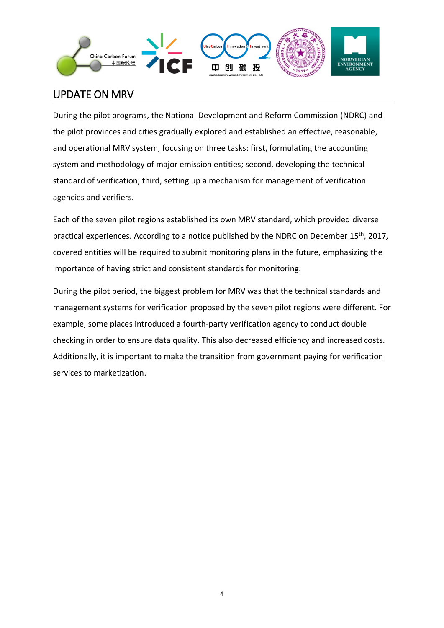

# UPDATE ON MRV

During the pilot programs, the National Development and Reform Commission (NDRC) and the pilot provinces and cities gradually explored and established an effective, reasonable, and operational MRV system, focusing on three tasks: first, formulating the accounting system and methodology of major emission entities; second, developing the technical standard of verification; third, setting up a mechanism for management of verification agencies and verifiers.

Each of the seven pilot regions established its own MRV standard, which provided diverse practical experiences. According to a notice published by the NDRC on December 15<sup>th</sup>, 2017, covered entities will be required to submit monitoring plans in the future, emphasizing the importance of having strict and consistent standards for monitoring.

During the pilot period, the biggest problem for MRV was that the technical standards and management systems for verification proposed by the seven pilot regions were different. For example, some places introduced a fourth-party verification agency to conduct double checking in order to ensure data quality. This also decreased efficiency and increased costs. Additionally, it is important to make the transition from government paying for verification services to marketization.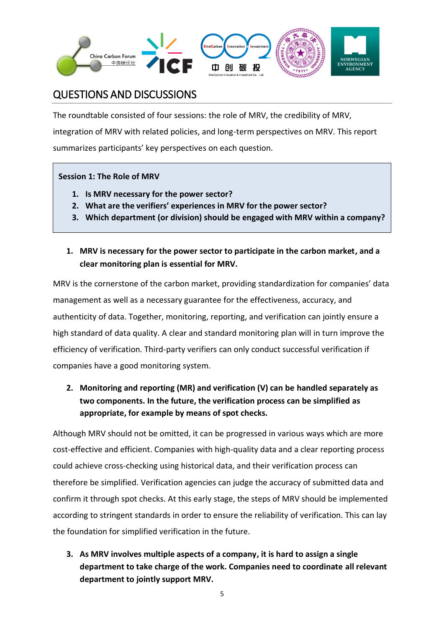

## QUESTIONS AND DISCUSSIONS

The roundtable consisted of four sessions: the role of MRV, the credibility of MRV, integration of MRV with related policies, and long-term perspectives on MRV. This report summarizes participants' key perspectives on each question.

#### **Session 1: The Role of MRV**

- **1. Is MRV necessary for the power sector?**
- **2. What are the verifiers' experiences in MRV for the power sector?**
- **3. Which department (or division) should be engaged with MRV within a company?**
- **1. MRV is necessary for the power sector to participate in the carbon market, and a clear monitoring plan is essential for MRV.**

MRV is the cornerstone of the carbon market, providing standardization for companies' data management as well as a necessary guarantee for the effectiveness, accuracy, and authenticity of data. Together, monitoring, reporting, and verification can jointly ensure a high standard of data quality. A clear and standard monitoring plan will in turn improve the efficiency of verification. Third-party verifiers can only conduct successful verification if companies have a good monitoring system.

**2. Monitoring and reporting (MR) and verification (V) can be handled separately as two components. In the future, the verification process can be simplified as appropriate, for example by means of spot checks.**

Although MRV should not be omitted, it can be progressed in various ways which are more cost-effective and efficient. Companies with high-quality data and a clear reporting process could achieve cross-checking using historical data, and their verification process can therefore be simplified. Verification agencies can judge the accuracy of submitted data and confirm it through spot checks. At this early stage, the steps of MRV should be implemented according to stringent standards in order to ensure the reliability of verification. This can lay the foundation for simplified verification in the future.

**3. As MRV involves multiple aspects of a company, it is hard to assign a single department to take charge of the work. Companies need to coordinate all relevant department to jointly support MRV.**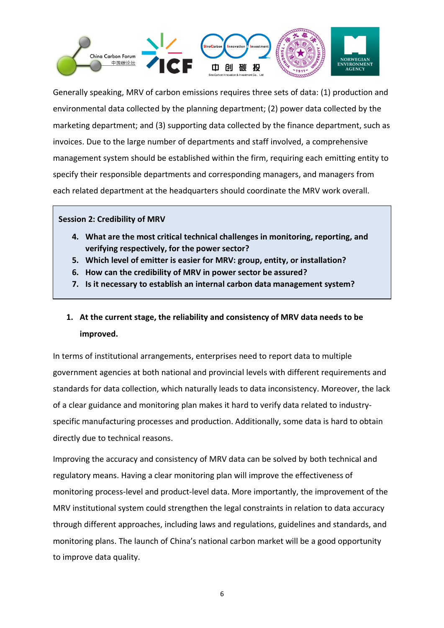

Generally speaking, MRV of carbon emissions requires three sets of data: (1) production and environmental data collected by the planning department; (2) power data collected by the marketing department; and (3) supporting data collected by the finance department, such as invoices. Due to the large number of departments and staff involved, a comprehensive management system should be established within the firm, requiring each emitting entity to specify their responsible departments and corresponding managers, and managers from each related department at the headquarters should coordinate the MRV work overall.

#### **Session 2: Credibility of MRV**

- **4. What are the most critical technical challenges in monitoring, reporting, and verifying respectively, for the power sector?**
- **5. Which level of emitter is easier for MRV: group, entity, or installation?**
- **6. How can the credibility of MRV in power sector be assured?**
- **7. Is it necessary to establish an internal carbon data management system?**

### **1. At the current stage, the reliability and consistency of MRV data needs to be improved.**

In terms of institutional arrangements, enterprises need to report data to multiple government agencies at both national and provincial levels with different requirements and standards for data collection, which naturally leads to data inconsistency. Moreover, the lack of a clear guidance and monitoring plan makes it hard to verify data related to industryspecific manufacturing processes and production. Additionally, some data is hard to obtain directly due to technical reasons.

Improving the accuracy and consistency of MRV data can be solved by both technical and regulatory means. Having a clear monitoring plan will improve the effectiveness of monitoring process-level and product-level data. More importantly, the improvement of the MRV institutional system could strengthen the legal constraints in relation to data accuracy through different approaches, including laws and regulations, guidelines and standards, and monitoring plans. The launch of China's national carbon market will be a good opportunity to improve data quality.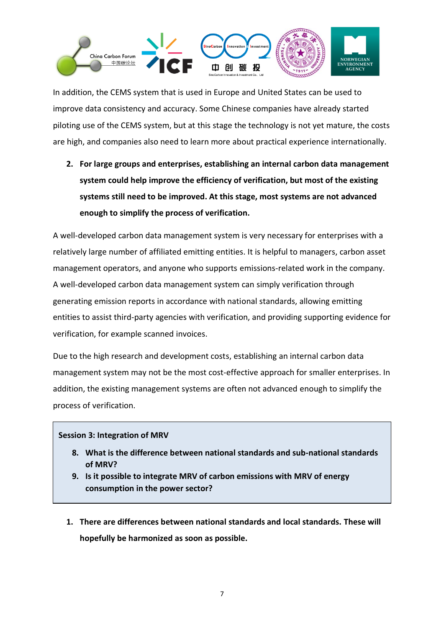

In addition, the CEMS system that is used in Europe and United States can be used to improve data consistency and accuracy. Some Chinese companies have already started piloting use of the CEMS system, but at this stage the technology is not yet mature, the costs are high, and companies also need to learn more about practical experience internationally.

**2. For large groups and enterprises, establishing an internal carbon data management system could help improve the efficiency of verification, but most of the existing systems still need to be improved. At this stage, most systems are not advanced enough to simplify the process of verification.**

A well-developed carbon data management system is very necessary for enterprises with a relatively large number of affiliated emitting entities. It is helpful to managers, carbon asset management operators, and anyone who supports emissions-related work in the company. A well-developed carbon data management system can simply verification through generating emission reports in accordance with national standards, allowing emitting entities to assist third-party agencies with verification, and providing supporting evidence for verification, for example scanned invoices.

Due to the high research and development costs, establishing an internal carbon data management system may not be the most cost-effective approach for smaller enterprises. In addition, the existing management systems are often not advanced enough to simplify the process of verification.

#### **Session 3: Integration of MRV**

- **8. What is the difference between national standards and sub-national standards of MRV?**
- **9. Is it possible to integrate MRV of carbon emissions with MRV of energy consumption in the power sector?**
- **1. There are differences between national standards and local standards. These will hopefully be harmonized as soon as possible.**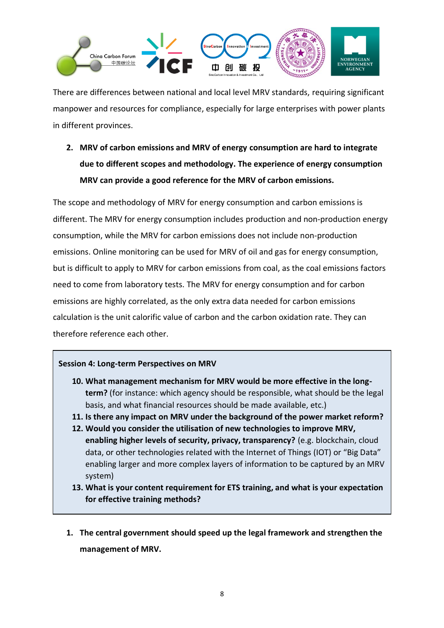

There are differences between national and local level MRV standards, requiring significant manpower and resources for compliance, especially for large enterprises with power plants in different provinces.

**2. MRV of carbon emissions and MRV of energy consumption are hard to integrate due to different scopes and methodology. The experience of energy consumption MRV can provide a good reference for the MRV of carbon emissions.**

The scope and methodology of MRV for energy consumption and carbon emissions is different. The MRV for energy consumption includes production and non-production energy consumption, while the MRV for carbon emissions does not include non-production emissions. Online monitoring can be used for MRV of oil and gas for energy consumption, but is difficult to apply to MRV for carbon emissions from coal, as the coal emissions factors need to come from laboratory tests. The MRV for energy consumption and for carbon emissions are highly correlated, as the only extra data needed for carbon emissions calculation is the unit calorific value of carbon and the carbon oxidation rate. They can therefore reference each other.

#### **Session 4: Long-term Perspectives on MRV**

- **10. What management mechanism for MRV would be more effective in the longterm?** (for instance: which agency should be responsible, what should be the legal basis, and what financial resources should be made available, etc.)
- **11. Is there any impact on MRV under the background of the power market reform?**
- **12. Would you consider the utilisation of new technologies to improve MRV, enabling higher levels of security, privacy, transparency?** (e.g. blockchain, cloud data, or other technologies related with the Internet of Things (IOT) or "Big Data" enabling larger and more complex layers of information to be captured by an MRV system)
- **13. What is your content requirement for ETS training, and what is your expectation for effective training methods?**
- **1. The central government should speed up the legal framework and strengthen the management of MRV.**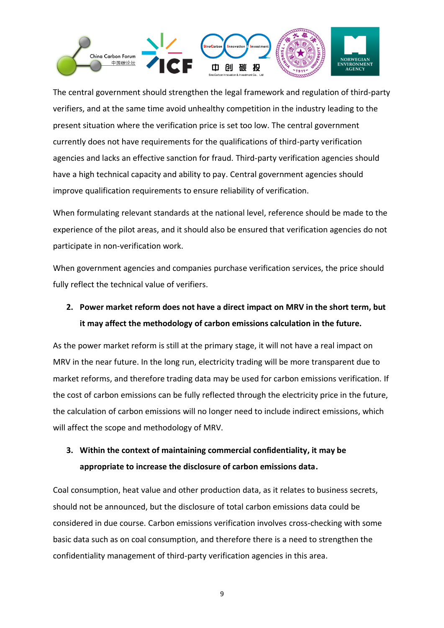

The central government should strengthen the legal framework and regulation of third-party verifiers, and at the same time avoid unhealthy competition in the industry leading to the present situation where the verification price is set too low. The central government currently does not have requirements for the qualifications of third-party verification agencies and lacks an effective sanction for fraud. Third-party verification agencies should have a high technical capacity and ability to pay. Central government agencies should improve qualification requirements to ensure reliability of verification.

When formulating relevant standards at the national level, reference should be made to the experience of the pilot areas, and it should also be ensured that verification agencies do not participate in non-verification work.

When government agencies and companies purchase verification services, the price should fully reflect the technical value of verifiers.

## **2. Power market reform does not have a direct impact on MRV in the short term, but it may affect the methodology of carbon emissions calculation in the future.**

As the power market reform is still at the primary stage, it will not have a real impact on MRV in the near future. In the long run, electricity trading will be more transparent due to market reforms, and therefore trading data may be used for carbon emissions verification. If the cost of carbon emissions can be fully reflected through the electricity price in the future, the calculation of carbon emissions will no longer need to include indirect emissions, which will affect the scope and methodology of MRV.

### **3. Within the context of maintaining commercial confidentiality, it may be appropriate to increase the disclosure of carbon emissions data.**

Coal consumption, heat value and other production data, as it relates to business secrets, should not be announced, but the disclosure of total carbon emissions data could be considered in due course. Carbon emissions verification involves cross-checking with some basic data such as on coal consumption, and therefore there is a need to strengthen the confidentiality management of third-party verification agencies in this area.